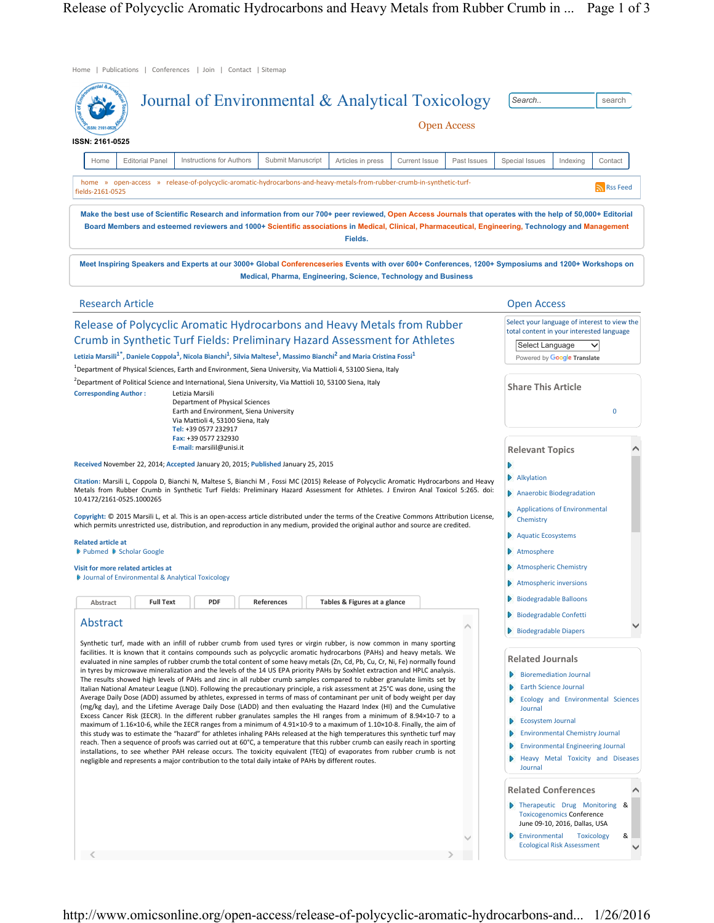| Home   Publications   Conferences   Join   Contact   Sitemap                                                                                                                                                                                                                                                                                                                                                                                                                                                                                                                                                                                                                                                                                                                                                                                                                                                                                                                                                                                                                                                                                                                                                                                                                                                                                                                                                                                                                                                                                                                                                                                                                                                                                                                   |                          |                                                                |                              |                      |                                                                                                                                                                                                                                                                                                                                                                                                                                                                                                                                  |                                                                                                                                              |                                   |          |
|--------------------------------------------------------------------------------------------------------------------------------------------------------------------------------------------------------------------------------------------------------------------------------------------------------------------------------------------------------------------------------------------------------------------------------------------------------------------------------------------------------------------------------------------------------------------------------------------------------------------------------------------------------------------------------------------------------------------------------------------------------------------------------------------------------------------------------------------------------------------------------------------------------------------------------------------------------------------------------------------------------------------------------------------------------------------------------------------------------------------------------------------------------------------------------------------------------------------------------------------------------------------------------------------------------------------------------------------------------------------------------------------------------------------------------------------------------------------------------------------------------------------------------------------------------------------------------------------------------------------------------------------------------------------------------------------------------------------------------------------------------------------------------|--------------------------|----------------------------------------------------------------|------------------------------|----------------------|----------------------------------------------------------------------------------------------------------------------------------------------------------------------------------------------------------------------------------------------------------------------------------------------------------------------------------------------------------------------------------------------------------------------------------------------------------------------------------------------------------------------------------|----------------------------------------------------------------------------------------------------------------------------------------------|-----------------------------------|----------|
| Journal of Environmental & Analytical Toxicology<br><b>Open Access</b><br>ISSN: 2161-0525                                                                                                                                                                                                                                                                                                                                                                                                                                                                                                                                                                                                                                                                                                                                                                                                                                                                                                                                                                                                                                                                                                                                                                                                                                                                                                                                                                                                                                                                                                                                                                                                                                                                                      |                          |                                                                |                              |                      |                                                                                                                                                                                                                                                                                                                                                                                                                                                                                                                                  | Search<br>search                                                                                                                             |                                   |          |
| <b>Editorial Panel</b><br>Home                                                                                                                                                                                                                                                                                                                                                                                                                                                                                                                                                                                                                                                                                                                                                                                                                                                                                                                                                                                                                                                                                                                                                                                                                                                                                                                                                                                                                                                                                                                                                                                                                                                                                                                                                 | Instructions for Authors | Submit Manuscript                                              | Articles in press            | <b>Current Issue</b> | Past Issues                                                                                                                                                                                                                                                                                                                                                                                                                                                                                                                      | Special Issues                                                                                                                               | Indexing                          | Contact  |
| home » open-access » release-of-polycyclic-aromatic-hydrocarbons-and-heavy-metals-from-rubber-crumb-in-synthetic-turf-<br>fields-2161-0525                                                                                                                                                                                                                                                                                                                                                                                                                                                                                                                                                                                                                                                                                                                                                                                                                                                                                                                                                                                                                                                                                                                                                                                                                                                                                                                                                                                                                                                                                                                                                                                                                                     |                          |                                                                |                              |                      |                                                                                                                                                                                                                                                                                                                                                                                                                                                                                                                                  |                                                                                                                                              |                                   | Rss Feed |
| Make the best use of Scientific Research and information from our 700+ peer reviewed, Open Access Journals that operates with the help of 50,000+ Editorial<br>Board Members and esteemed reviewers and 1000+ Scientific associations in Medical, Clinical, Pharmaceutical, Engineering, Technology and Management                                                                                                                                                                                                                                                                                                                                                                                                                                                                                                                                                                                                                                                                                                                                                                                                                                                                                                                                                                                                                                                                                                                                                                                                                                                                                                                                                                                                                                                             |                          |                                                                | Fields.                      |                      |                                                                                                                                                                                                                                                                                                                                                                                                                                                                                                                                  |                                                                                                                                              |                                   |          |
| Meet Inspiring Speakers and Experts at our 3000+ Global Conferenceseries Events with over 600+ Conferences, 1200+ Symposiums and 1200+ Workshops on                                                                                                                                                                                                                                                                                                                                                                                                                                                                                                                                                                                                                                                                                                                                                                                                                                                                                                                                                                                                                                                                                                                                                                                                                                                                                                                                                                                                                                                                                                                                                                                                                            |                          | Medical, Pharma, Engineering, Science, Technology and Business |                              |                      |                                                                                                                                                                                                                                                                                                                                                                                                                                                                                                                                  |                                                                                                                                              |                                   |          |
| <b>Research Article</b>                                                                                                                                                                                                                                                                                                                                                                                                                                                                                                                                                                                                                                                                                                                                                                                                                                                                                                                                                                                                                                                                                                                                                                                                                                                                                                                                                                                                                                                                                                                                                                                                                                                                                                                                                        |                          |                                                                |                              |                      |                                                                                                                                                                                                                                                                                                                                                                                                                                                                                                                                  | <b>Open Access</b>                                                                                                                           |                                   |          |
| Release of Polycyclic Aromatic Hydrocarbons and Heavy Metals from Rubber<br>Crumb in Synthetic Turf Fields: Preliminary Hazard Assessment for Athletes<br>Letizia Marsili <sup>1*</sup> , Daniele Coppola <sup>1</sup> , Nicola Bianchi <sup>1</sup> , Silvia Maltese <sup>1</sup> , Massimo Bianchi <sup>2</sup> and Maria Cristina Fossi <sup>1</sup><br><sup>1</sup> Department of Physical Sciences, Earth and Environment, Siena University, Via Mattioli 4, 53100 Siena, Italy                                                                                                                                                                                                                                                                                                                                                                                                                                                                                                                                                                                                                                                                                                                                                                                                                                                                                                                                                                                                                                                                                                                                                                                                                                                                                           |                          |                                                                |                              |                      | Select your language of interest to view the<br>total content in your interested language<br>Select Language<br>▽<br>Powered by Google Translate                                                                                                                                                                                                                                                                                                                                                                                 |                                                                                                                                              |                                   |          |
| <sup>2</sup> Department of Political Science and International, Siena University, Via Mattioli 10, 53100 Siena, Italy<br><b>Corresponding Author:</b><br>Letizia Marsili<br>Department of Physical Sciences<br>Earth and Environment, Siena University<br>Via Mattioli 4, 53100 Siena, Italy<br>Tel: +39 0577 232917<br>Fax: +39 0577 232930                                                                                                                                                                                                                                                                                                                                                                                                                                                                                                                                                                                                                                                                                                                                                                                                                                                                                                                                                                                                                                                                                                                                                                                                                                                                                                                                                                                                                                   |                          |                                                                |                              |                      | <b>Share This Article</b><br>$\mathbf 0$                                                                                                                                                                                                                                                                                                                                                                                                                                                                                         |                                                                                                                                              |                                   |          |
| E-mail: marsilil@unisi.it<br>Received November 22, 2014; Accepted January 20, 2015; Published January 25, 2015<br>Citation: Marsili L, Coppola D, Bianchi N, Maltese S, Bianchi M , Fossi MC (2015) Release of Polycyclic Aromatic Hydrocarbons and Heavy<br>Metals from Rubber Crumb in Synthetic Turf Fields: Preliminary Hazard Assessment for Athletes. J Environ Anal Toxicol 5:265. doi:<br>10.4172/2161-0525.1000265<br>Copyright: © 2015 Marsili L, et al. This is an open-access article distributed under the terms of the Creative Commons Attribution License,                                                                                                                                                                                                                                                                                                                                                                                                                                                                                                                                                                                                                                                                                                                                                                                                                                                                                                                                                                                                                                                                                                                                                                                                     |                          |                                                                |                              |                      | <b>Relevant Topics</b><br>Alkylation<br>Anaerobic Biodegradation<br><b>Applications of Environmental</b><br>Chemistry                                                                                                                                                                                                                                                                                                                                                                                                            |                                                                                                                                              |                                   |          |
| which permits unrestricted use, distribution, and reproduction in any medium, provided the original author and source are credited.<br><b>Related article at</b><br>▶ Pubmed ▶ Scholar Google<br>Visit for more related articles at<br><b>D</b> Journal of Environmental & Analytical Toxicology<br><b>Full Text</b><br>Abstract<br>Abstract                                                                                                                                                                                                                                                                                                                                                                                                                                                                                                                                                                                                                                                                                                                                                                                                                                                                                                                                                                                                                                                                                                                                                                                                                                                                                                                                                                                                                                   | <b>PDF</b>               | References                                                     | Tables & Figures at a glance |                      | ∧                                                                                                                                                                                                                                                                                                                                                                                                                                                                                                                                | Aquatic Ecosystems<br>Atmosphere<br>D<br>Atmospheric Chemistry<br>Atmospheric inversions<br>Biodegradable Balloons<br>Biodegradable Confetti |                                   |          |
| Synthetic turf, made with an infill of rubber crumb from used tyres or virgin rubber, is now common in many sporting<br>facilities. It is known that it contains compounds such as polycyclic aromatic hydrocarbons (PAHs) and heavy metals. We<br>evaluated in nine samples of rubber crumb the total content of some heavy metals (Zn, Cd, Pb, Cu, Cr, Ni, Fe) normally found<br>in tyres by microwave mineralization and the levels of the 14 US EPA priority PAHs by Soxhlet extraction and HPLC analysis.<br>The results showed high levels of PAHs and zinc in all rubber crumb samples compared to rubber granulate limits set by<br>Italian National Amateur League (LND). Following the precautionary principle, a risk assessment at 25°C was done, using the<br>Average Daily Dose (ADD) assumed by athletes, expressed in terms of mass of contaminant per unit of body weight per day<br>(mg/kg day), and the Lifetime Average Daily Dose (LADD) and then evaluating the Hazard Index (HI) and the Cumulative<br>Excess Cancer Risk (ZECR). In the different rubber granulates samples the HI ranges from a minimum of 8.94×10-7 to a<br>maximum of 1.16×10-6, while the ∑ECR ranges from a minimum of 4.91×10-9 to a maximum of 1.10×10-8. Finally, the aim of<br>this study was to estimate the "hazard" for athletes inhaling PAHs released at the high temperatures this synthetic turf may<br>reach. Then a sequence of proofs was carried out at 60°C, a temperature that this rubber crumb can easily reach in sporting<br>installations, to see whether PAH release occurs. The toxicity equivalent (TEQ) of evaporates from rubber crumb is not<br>negligible and represents a major contribution to the total daily intake of PAHs by different routes. |                          |                                                                |                              |                      | Biodegradable Diapers<br><b>Related Journals</b><br><b>Bioremediation Journal</b><br><b>Earth Science Journal</b><br><b>Ecology and Environmental Sciences</b><br>Journal<br><b>Ecosystem Journal</b><br>Đ.<br><b>Environmental Chemistry Journal</b><br><b>Environmental Engineering Journal</b><br>Heavy Metal Toxicity and Diseases<br>Journal<br><b>Related Conferences</b><br>Therapeutic Drug Monitoring &<br><b>Toxicogenomics Conference</b><br>June 09-10, 2016, Dallas, USA<br>Environmental<br><b>Toxicology</b><br>& |                                                                                                                                              |                                   |          |
|                                                                                                                                                                                                                                                                                                                                                                                                                                                                                                                                                                                                                                                                                                                                                                                                                                                                                                                                                                                                                                                                                                                                                                                                                                                                                                                                                                                                                                                                                                                                                                                                                                                                                                                                                                                |                          |                                                                |                              |                      |                                                                                                                                                                                                                                                                                                                                                                                                                                                                                                                                  |                                                                                                                                              | <b>Ecological Risk Assessment</b> |          |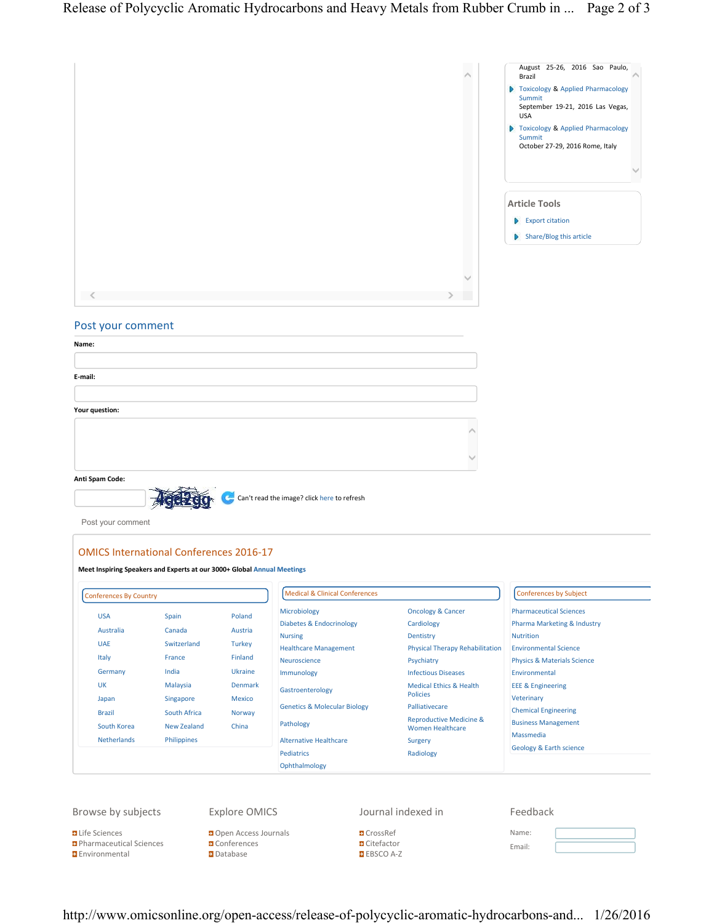

## Post your comment

| Name:          |  |
|----------------|--|
|                |  |
| E-mail:        |  |
|                |  |
| Your question: |  |
|                |  |
|                |  |
|                |  |

**Anti Spam Code:**

**Environmental** 

大党理 Can't read the image? click here to refresh

Post your comment

## **OMICS International Conferences 2016-17**

**D**atabase

|                                                                                                                                       | <b>Conferences By Country</b>                                                                                                   |                                                                                                                | <b>Medical &amp; Clinical Conferences</b>                                                                                                                                                                                                                                       |                                                                                                                                                                                                                                                                                                                   | <b>Conferences by Subject</b>                                                                                                                                                                                                                                                                                                                         |
|---------------------------------------------------------------------------------------------------------------------------------------|---------------------------------------------------------------------------------------------------------------------------------|----------------------------------------------------------------------------------------------------------------|---------------------------------------------------------------------------------------------------------------------------------------------------------------------------------------------------------------------------------------------------------------------------------|-------------------------------------------------------------------------------------------------------------------------------------------------------------------------------------------------------------------------------------------------------------------------------------------------------------------|-------------------------------------------------------------------------------------------------------------------------------------------------------------------------------------------------------------------------------------------------------------------------------------------------------------------------------------------------------|
| <b>USA</b><br>Australia<br><b>UAE</b><br>Italy<br>Germany<br><b>UK</b><br>Japan<br><b>Brazil</b><br>South Korea<br><b>Netherlands</b> | Spain<br>Canada<br>Switzerland<br>France<br>India<br>Malaysia<br>Singapore<br>South Africa<br><b>New Zealand</b><br>Philippines | Poland<br>Austria<br><b>Turkey</b><br><b>Finland</b><br>Ukraine<br><b>Denmark</b><br>Mexico<br>Norway<br>China | Microbiology<br><b>Diabetes &amp; Endocrinology</b><br><b>Nursing</b><br><b>Healthcare Management</b><br>Neuroscience<br>Immunology<br>Gastroenterology<br><b>Genetics &amp; Molecular Biology</b><br>Pathology<br><b>Alternative Healthcare</b><br>Pediatrics<br>Ophthalmology | <b>Oncology &amp; Cancer</b><br>Cardiology<br>Dentistry<br><b>Physical Therapy Rehabilitation</b><br>Psychiatry<br><b>Infectious Diseases</b><br><b>Medical Ethics &amp; Health</b><br><b>Policies</b><br>Palliativecare<br><b>Reproductive Medicine &amp;</b><br><b>Women Healthcare</b><br>Surgery<br>Radiology | <b>Pharmaceutical Sciences</b><br><b>Pharma Marketing &amp; Industry</b><br><b>Nutrition</b><br><b>Environmental Science</b><br><b>Physics &amp; Materials Science</b><br>Environmental<br><b>EEE &amp; Engineering</b><br>Veterinary<br><b>Chemical Engineering</b><br><b>Business Management</b><br>Massmedia<br><b>Geology &amp; Earth science</b> |

http://www.omicsonline.org/open-access/release-of-polycyclic-aromatic-hydrocarbons-and... 1/26/2016

EBSCO A-Z